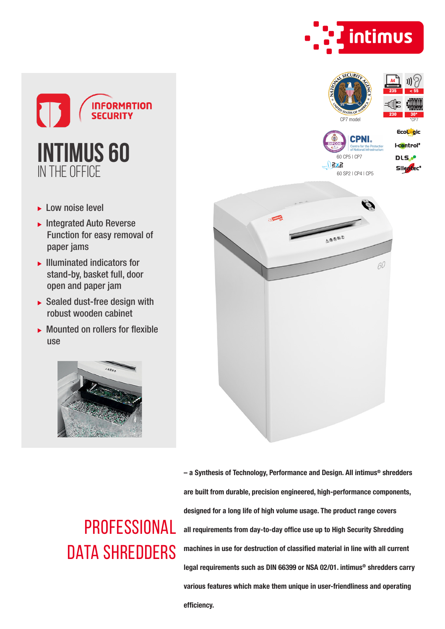

 $235$  <  $55$ 



- ► Low noise level
- $\blacktriangleright$  Integrated Auto Reverse Function for easy removal of paper jams
- $\blacktriangleright$  Illuminated indicators for stand-by, basket full, door open and paper jam
- $\triangleright$  Sealed dust-free design with robust wooden cabinet
- Mounted on rollers for flexible use





## **PROFESSIONAL** DATA SHREDDERS

– a Synthesis of Technology, Performance and Design. All intimus® shredders are built from durable, precision engineered, high-performance components, designed for a long life of high volume usage. The product range covers all requirements from day-to-day office use up to High Security Shredding machines in use for destruction of classified material in line with all current legal requirements such as DIN 66399 or NSA 02/01. intimus® shredders carry various features which make them unique in user-friendliness and operating efficiency.